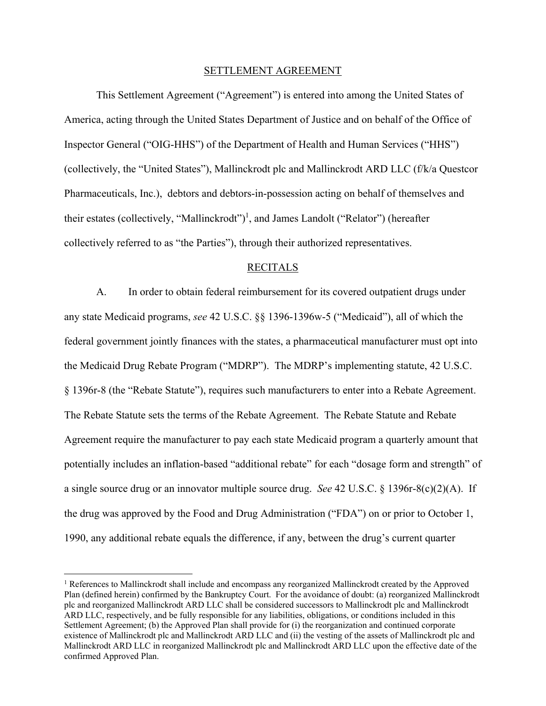#### SETTLEMENT AGREEMENT

This Settlement Agreement ("Agreement") is entered into among the United States of America, acting through the United States Department of Justice and on behalf of the Office of Inspector General ("OIG-HHS") of the Department of Health and Human Services ("HHS") (collectively, the "United States"), Mallinckrodt plc and Mallinckrodt ARD LLC (f/k/a Questcor Pharmaceuticals, Inc.), debtors and debtors-in-possession acting on behalf of themselves and their estates (collectively, "Mallinckrodt")<sup>1</sup>, and James Landolt ("Relator") (hereafter collectively referred to as "the Parties"), through their authorized representatives.

#### RECITALS

A. In order to obtain federal reimbursement for its covered outpatient drugs under any state Medicaid programs, *see* 42 U.S.C. §§ 1396-1396w-5 ("Medicaid"), all of which the federal government jointly finances with the states, a pharmaceutical manufacturer must opt into the Medicaid Drug Rebate Program ("MDRP"). The MDRP's implementing statute, 42 U.S.C. § 1396r-8 (the "Rebate Statute"), requires such manufacturers to enter into a Rebate Agreement. The Rebate Statute sets the terms of the Rebate Agreement. The Rebate Statute and Rebate Agreement require the manufacturer to pay each state Medicaid program a quarterly amount that potentially includes an inflation-based "additional rebate" for each "dosage form and strength" of a single source drug or an innovator multiple source drug. *See* 42 U.S.C. § 1396r-8(c)(2)(A). If the drug was approved by the Food and Drug Administration ("FDA") on or prior to October 1, 1990, any additional rebate equals the difference, if any, between the drug's current quarter

1

<sup>&</sup>lt;sup>1</sup> References to Mallinckrodt shall include and encompass any reorganized Mallinckrodt created by the Approved Plan (defined herein) confirmed by the Bankruptcy Court. For the avoidance of doubt: (a) reorganized Mallinckrodt plc and reorganized Mallinckrodt ARD LLC shall be considered successors to Mallinckrodt plc and Mallinckrodt ARD LLC, respectively, and be fully responsible for any liabilities, obligations, or conditions included in this Settlement Agreement; (b) the Approved Plan shall provide for (i) the reorganization and continued corporate existence of Mallinckrodt plc and Mallinckrodt ARD LLC and (ii) the vesting of the assets of Mallinckrodt plc and Mallinckrodt ARD LLC in reorganized Mallinckrodt plc and Mallinckrodt ARD LLC upon the effective date of the confirmed Approved Plan.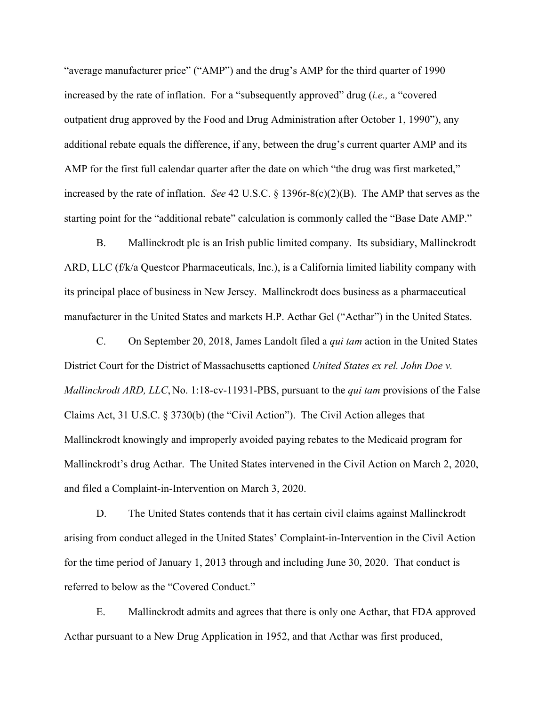"average manufacturer price" ("AMP") and the drug's AMP for the third quarter of 1990 increased by the rate of inflation. For a "subsequently approved" drug (*i.e.,* a "covered outpatient drug approved by the Food and Drug Administration after October 1, 1990"), any additional rebate equals the difference, if any, between the drug's current quarter AMP and its AMP for the first full calendar quarter after the date on which "the drug was first marketed," increased by the rate of inflation. *See* 42 U.S.C. § 1396r-8(c)(2)(B). The AMP that serves as the starting point for the "additional rebate" calculation is commonly called the "Base Date AMP."

B. Mallinckrodt plc is an Irish public limited company. Its subsidiary, Mallinckrodt ARD, LLC (f/k/a Questcor Pharmaceuticals, Inc.), is a California limited liability company with its principal place of business in New Jersey. Mallinckrodt does business as a pharmaceutical manufacturer in the United States and markets H.P. Acthar Gel ("Acthar") in the United States.

C. On September 20, 2018, James Landolt filed a *qui tam* action in the United States District Court for the District of Massachusetts captioned *United States ex rel. John Doe v. Mallinckrodt ARD, LLC*, No. 1:18-cv-11931-PBS, pursuant to the *qui tam* provisions of the False Claims Act, 31 U.S.C. § 3730(b) (the "Civil Action"). The Civil Action alleges that Mallinckrodt knowingly and improperly avoided paying rebates to the Medicaid program for Mallinckrodt's drug Acthar. The United States intervened in the Civil Action on March 2, 2020, and filed a Complaint-in-Intervention on March 3, 2020.

D. The United States contends that it has certain civil claims against Mallinckrodt arising from conduct alleged in the United States' Complaint-in-Intervention in the Civil Action for the time period of January 1, 2013 through and including June 30, 2020. That conduct is referred to below as the "Covered Conduct."

E. Mallinckrodt admits and agrees that there is only one Acthar, that FDA approved Acthar pursuant to a New Drug Application in 1952, and that Acthar was first produced,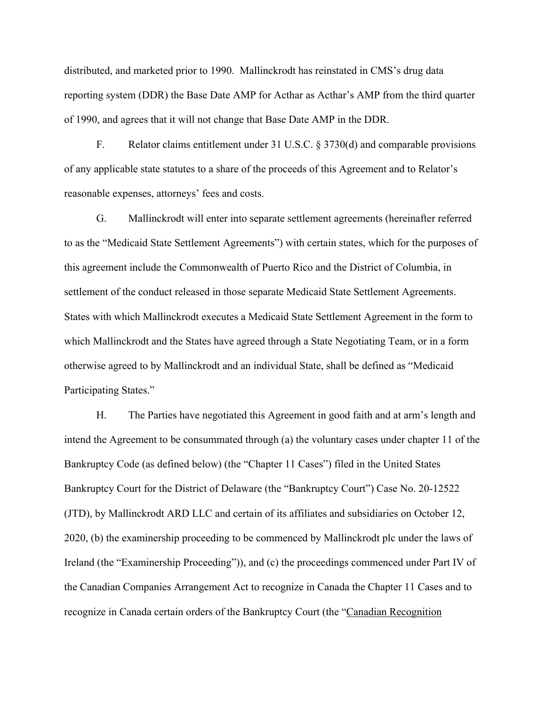distributed, and marketed prior to 1990. Mallinckrodt has reinstated in CMS's drug data reporting system (DDR) the Base Date AMP for Acthar as Acthar's AMP from the third quarter of 1990, and agrees that it will not change that Base Date AMP in the DDR.

F. Relator claims entitlement under 31 U.S.C. § 3730(d) and comparable provisions of any applicable state statutes to a share of the proceeds of this Agreement and to Relator's reasonable expenses, attorneys' fees and costs.

G. Mallinckrodt will enter into separate settlement agreements (hereinafter referred to as the "Medicaid State Settlement Agreements") with certain states, which for the purposes of this agreement include the Commonwealth of Puerto Rico and the District of Columbia, in settlement of the conduct released in those separate Medicaid State Settlement Agreements. States with which Mallinckrodt executes a Medicaid State Settlement Agreement in the form to which Mallinckrodt and the States have agreed through a State Negotiating Team, or in a form otherwise agreed to by Mallinckrodt and an individual State, shall be defined as "Medicaid Participating States."

H. The Parties have negotiated this Agreement in good faith and at arm's length and intend the Agreement to be consummated through (a) the voluntary cases under chapter 11 of the Bankruptcy Code (as defined below) (the "Chapter 11 Cases") filed in the United States Bankruptcy Court for the District of Delaware (the "Bankruptcy Court") Case No. 20-12522 (JTD), by Mallinckrodt ARD LLC and certain of its affiliates and subsidiaries on October 12, 2020, (b) the examinership proceeding to be commenced by Mallinckrodt plc under the laws of Ireland (the "Examinership Proceeding")), and (c) the proceedings commenced under Part IV of the Canadian Companies Arrangement Act to recognize in Canada the Chapter 11 Cases and to recognize in Canada certain orders of the Bankruptcy Court (the "Canadian Recognition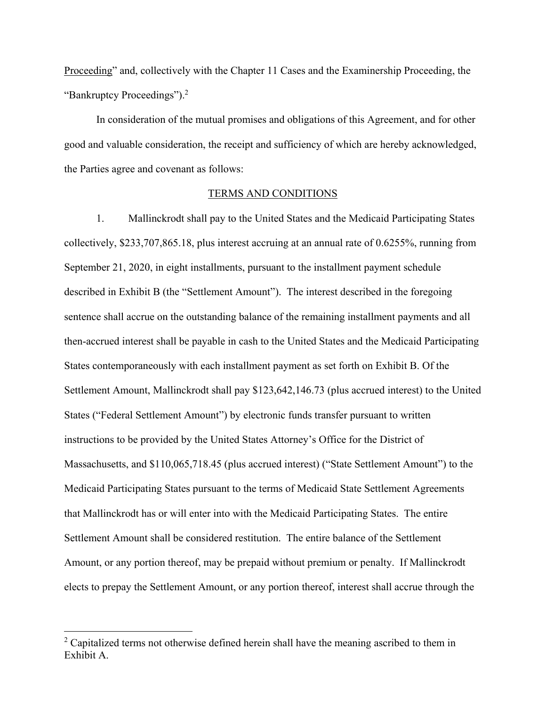"Bankruptcy Proceedings").<sup>2</sup> Proceeding" and, collectively with the Chapter 11 Cases and the Examinership Proceeding, the

In consideration of the mutual promises and obligations of this Agreement, and for other good and valuable consideration, the receipt and sufficiency of which are hereby acknowledged, the Parties agree and covenant as follows:

### TERMS AND CONDITIONS

 collectively, [\\$233,707,865.18](https://233,707,865.18), plus interest accruing at an annual rate of 0.6255%, running from September 21, 2020, in eight installments, pursuant to the installment payment schedule 1. Mallinckrodt shall pay to the United States and the Medicaid Participating States described in Exhibit B (the "Settlement Amount"). The interest described in the foregoing sentence shall accrue on the outstanding balance of the remaining installment payments and all then-accrued interest shall be payable in cash to the United States and the Medicaid Participating States contemporaneously with each installment payment as set forth on Exhibit B. Of the Settlement Amount, Mallinckrodt shall pay [\\$123,642,146.73](https://123,642,146.73) (plus accrued interest) to the United States ("Federal Settlement Amount") by electronic funds transfer pursuant to written instructions to be provided by the United States Attorney's Office for the District of Massachusetts, and \$[110,065,718.45](https://110,065,718.45) (plus accrued interest) ("State Settlement Amount") to the Medicaid Participating States pursuant to the terms of Medicaid State Settlement Agreements that Mallinckrodt has or will enter into with the Medicaid Participating States. The entire Settlement Amount shall be considered restitution. The entire balance of the Settlement Amount, or any portion thereof, may be prepaid without premium or penalty. If Mallinckrodt elects to prepay the Settlement Amount, or any portion thereof, interest shall accrue through the

 $\overline{a}$ 

 $2^2$  Capitalized terms not otherwise defined herein shall have the meaning ascribed to them in Exhibit A.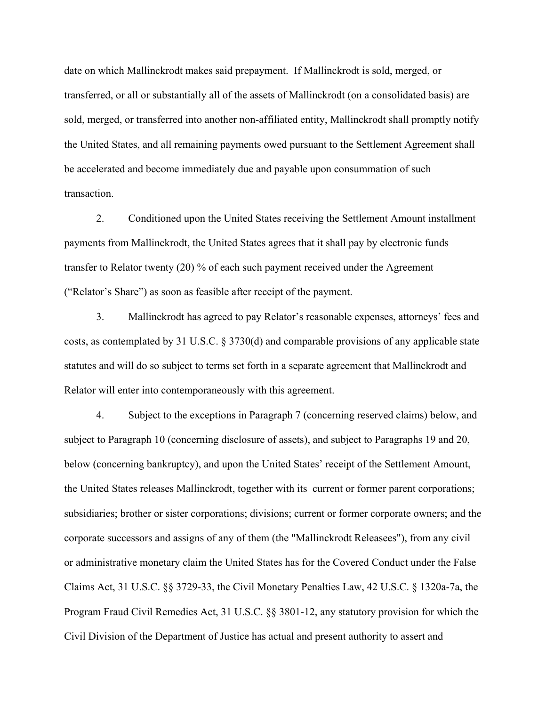date on which Mallinckrodt makes said prepayment. If Mallinckrodt is sold, merged, or transferred, or all or substantially all of the assets of Mallinckrodt (on a consolidated basis) are sold, merged, or transferred into another non-affiliated entity, Mallinckrodt shall promptly notify the United States, and all remaining payments owed pursuant to the Settlement Agreement shall be accelerated and become immediately due and payable upon consummation of such transaction.

2. Conditioned upon the United States receiving the Settlement Amount installment payments from Mallinckrodt, the United States agrees that it shall pay by electronic funds transfer to Relator twenty (20) % of each such payment received under the Agreement ("Relator's Share") as soon as feasible after receipt of the payment.

3. Mallinckrodt has agreed to pay Relator's reasonable expenses, attorneys' fees and costs, as contemplated by 31 U.S.C.  $\S 3730(d)$  and comparable provisions of any applicable state statutes and will do so subject to terms set forth in a separate agreement that Mallinckrodt and Relator will enter into contemporaneously with this agreement.

4. Subject to the exceptions in Paragraph 7 (concerning reserved claims) below, and subject to Paragraph 10 (concerning disclosure of assets), and subject to Paragraphs 19 and 20, below (concerning bankruptcy), and upon the United States' receipt of the Settlement Amount, the United States releases Mallinckrodt, together with its current or former parent corporations; subsidiaries; brother or sister corporations; divisions; current or former corporate owners; and the corporate successors and assigns of any of them (the "Mallinckrodt Releasees"), from any civil or administrative monetary claim the United States has for the Covered Conduct under the False Claims Act, 31 U.S.C. §§ 3729-33, the Civil Monetary Penalties Law, 42 U.S.C. § 1320a-7a, the Program Fraud Civil Remedies Act, 31 U.S.C. §§ 3801-12, any statutory provision for which the Civil Division of the Department of Justice has actual and present authority to assert and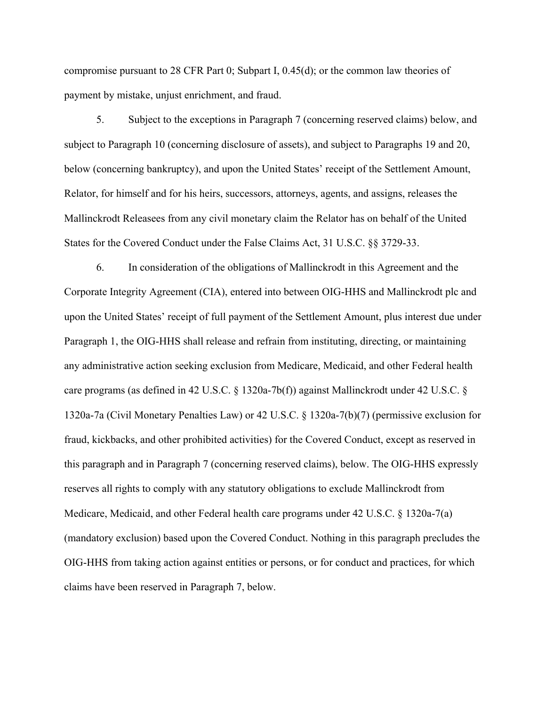compromise pursuant to 28 CFR Part 0; Subpart I, 0.45(d); or the common law theories of payment by mistake, unjust enrichment, and fraud.

5. Subject to the exceptions in Paragraph 7 (concerning reserved claims) below, and subject to Paragraph 10 (concerning disclosure of assets), and subject to Paragraphs 19 and 20, below (concerning bankruptcy), and upon the United States' receipt of the Settlement Amount, Relator, for himself and for his heirs, successors, attorneys, agents, and assigns, releases the Mallinckrodt Releasees from any civil monetary claim the Relator has on behalf of the United States for the Covered Conduct under the False Claims Act, 31 U.S.C. §§ 3729-33.

6. In consideration of the obligations of Mallinckrodt in this Agreement and the Corporate Integrity Agreement (CIA), entered into between OIG-HHS and Mallinckrodt plc and upon the United States' receipt of full payment of the Settlement Amount, plus interest due under Paragraph 1, the OIG-HHS shall release and refrain from instituting, directing, or maintaining any administrative action seeking exclusion from Medicare, Medicaid, and other Federal health care programs (as defined in 42 U.S.C. § 1320a-7b(f)) against Mallinckrodt under 42 U.S.C. § 1320a-7a (Civil Monetary Penalties Law) or 42 U.S.C. § 1320a-7(b)(7) (permissive exclusion for fraud, kickbacks, and other prohibited activities) for the Covered Conduct, except as reserved in this paragraph and in Paragraph 7 (concerning reserved claims), below. The OIG-HHS expressly reserves all rights to comply with any statutory obligations to exclude Mallinckrodt from Medicare, Medicaid, and other Federal health care programs under 42 U.S.C. § 1320a-7(a) (mandatory exclusion) based upon the Covered Conduct. Nothing in this paragraph precludes the OIG-HHS from taking action against entities or persons, or for conduct and practices, for which claims have been reserved in Paragraph 7, below.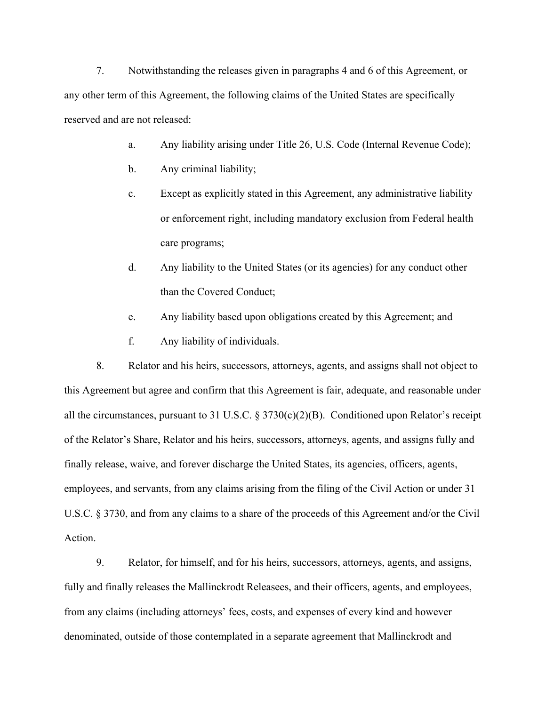7. Notwithstanding the releases given in paragraphs 4 and 6 of this Agreement, or any other term of this Agreement, the following claims of the United States are specifically reserved and are not released:

- a. Any liability arising under Title 26, U.S. Code (Internal Revenue Code);
- b. Any criminal liability;
- c. Except as explicitly stated in this Agreement, any administrative liability or enforcement right, including mandatory exclusion from Federal health care programs;
- d. Any liability to the United States (or its agencies) for any conduct other than the Covered Conduct;
- e. Any liability based upon obligations created by this Agreement; and
- f. Any liability of individuals.

8. Relator and his heirs, successors, attorneys, agents, and assigns shall not object to this Agreement but agree and confirm that this Agreement is fair, adequate, and reasonable under all the circumstances, pursuant to 31 U.S.C. § 3730(c)(2)(B). Conditioned upon Relator's receipt of the Relator's Share, Relator and his heirs, successors, attorneys, agents, and assigns fully and finally release, waive, and forever discharge the United States, its agencies, officers, agents, employees, and servants, from any claims arising from the filing of the Civil Action or under 31 U.S.C. § 3730, and from any claims to a share of the proceeds of this Agreement and/or the Civil Action.

9. Relator, for himself, and for his heirs, successors, attorneys, agents, and assigns, fully and finally releases the Mallinckrodt Releasees, and their officers, agents, and employees, from any claims (including attorneys' fees, costs, and expenses of every kind and however denominated, outside of those contemplated in a separate agreement that Mallinckrodt and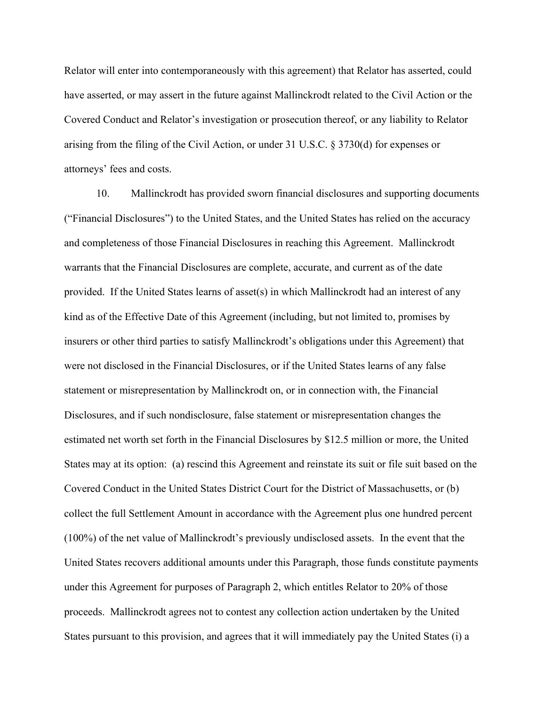Relator will enter into contemporaneously with this agreement) that Relator has asserted, could have asserted, or may assert in the future against Mallinckrodt related to the Civil Action or the Covered Conduct and Relator's investigation or prosecution thereof, or any liability to Relator arising from the filing of the Civil Action, or under 31 U.S.C. § 3730(d) for expenses or attorneys' fees and costs.

10. Mallinckrodt has provided sworn financial disclosures and supporting documents ("Financial Disclosures") to the United States, and the United States has relied on the accuracy and completeness of those Financial Disclosures in reaching this Agreement. Mallinckrodt warrants that the Financial Disclosures are complete, accurate, and current as of the date provided. If the United States learns of asset(s) in which Mallinckrodt had an interest of any kind as of the Effective Date of this Agreement (including, but not limited to, promises by insurers or other third parties to satisfy Mallinckrodt's obligations under this Agreement) that were not disclosed in the Financial Disclosures, or if the United States learns of any false statement or misrepresentation by Mallinckrodt on, or in connection with, the Financial Disclosures, and if such nondisclosure, false statement or misrepresentation changes the estimated net worth set forth in the Financial Disclosures by \$12.5 million or more, the United States may at its option: (a) rescind this Agreement and reinstate its suit or file suit based on the Covered Conduct in the United States District Court for the District of Massachusetts, or (b) collect the full Settlement Amount in accordance with the Agreement plus one hundred percent (100%) of the net value of Mallinckrodt's previously undisclosed assets. In the event that the United States recovers additional amounts under this Paragraph, those funds constitute payments under this Agreement for purposes of Paragraph 2, which entitles Relator to 20% of those proceeds. Mallinckrodt agrees not to contest any collection action undertaken by the United States pursuant to this provision, and agrees that it will immediately pay the United States (i) a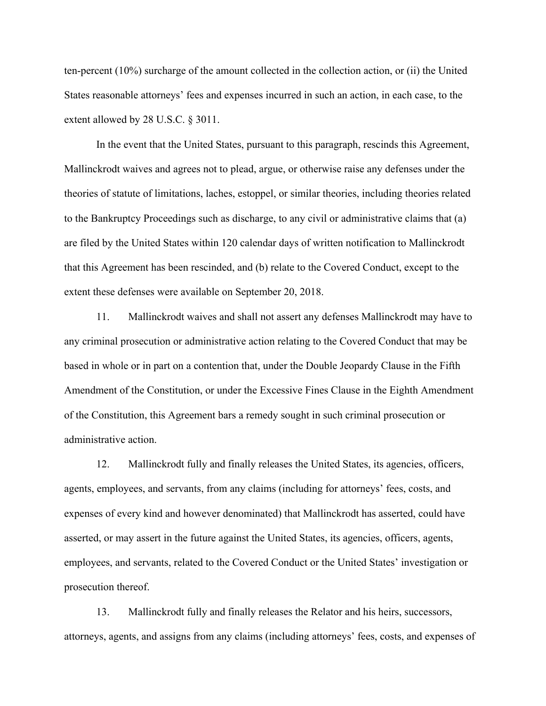ten-percent (10%) surcharge of the amount collected in the collection action, or (ii) the United States reasonable attorneys' fees and expenses incurred in such an action, in each case, to the extent allowed by 28 U.S.C. § 3011.

In the event that the United States, pursuant to this paragraph, rescinds this Agreement, Mallinckrodt waives and agrees not to plead, argue, or otherwise raise any defenses under the theories of statute of limitations, laches, estoppel, or similar theories, including theories related to the Bankruptcy Proceedings such as discharge, to any civil or administrative claims that (a) are filed by the United States within 120 calendar days of written notification to Mallinckrodt that this Agreement has been rescinded, and (b) relate to the Covered Conduct, except to the extent these defenses were available on September 20, 2018.

11. Mallinckrodt waives and shall not assert any defenses Mallinckrodt may have to any criminal prosecution or administrative action relating to the Covered Conduct that may be based in whole or in part on a contention that, under the Double Jeopardy Clause in the Fifth Amendment of the Constitution, or under the Excessive Fines Clause in the Eighth Amendment of the Constitution, this Agreement bars a remedy sought in such criminal prosecution or administrative action.

12. Mallinckrodt fully and finally releases the United States, its agencies, officers, agents, employees, and servants, from any claims (including for attorneys' fees, costs, and expenses of every kind and however denominated) that Mallinckrodt has asserted, could have asserted, or may assert in the future against the United States, its agencies, officers, agents, employees, and servants, related to the Covered Conduct or the United States' investigation or prosecution thereof.

13. Mallinckrodt fully and finally releases the Relator and his heirs, successors, attorneys, agents, and assigns from any claims (including attorneys' fees, costs, and expenses of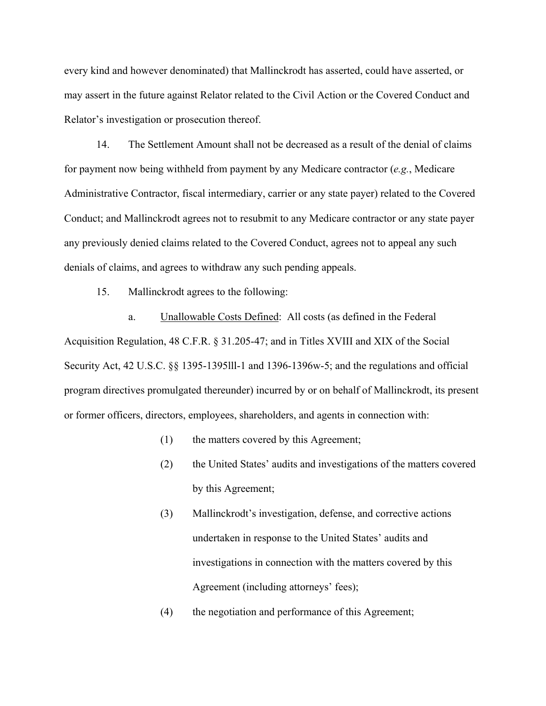every kind and however denominated) that Mallinckrodt has asserted, could have asserted, or may assert in the future against Relator related to the Civil Action or the Covered Conduct and Relator's investigation or prosecution thereof.

14. The Settlement Amount shall not be decreased as a result of the denial of claims for payment now being withheld from payment by any Medicare contractor (*e.g.*, Medicare Administrative Contractor, fiscal intermediary, carrier or any state payer) related to the Covered Conduct; and Mallinckrodt agrees not to resubmit to any Medicare contractor or any state payer any previously denied claims related to the Covered Conduct, agrees not to appeal any such denials of claims, and agrees to withdraw any such pending appeals.

15. Mallinckrodt agrees to the following:

a. Unallowable Costs Defined: All costs (as defined in the Federal Acquisition Regulation, 48 C.F.R. § 31.205-47; and in Titles XVIII and XIX of the Social Security Act, 42 U.S.C. §§ 1395-1395lll-1 and 1396-1396w-5; and the regulations and official program directives promulgated thereunder) incurred by or on behalf of Mallinckrodt, its present or former officers, directors, employees, shareholders, and agents in connection with:

- (1) the matters covered by this Agreement;
- (2) the United States' audits and investigations of the matters covered by this Agreement;
- (3) Mallinckrodt's investigation, defense, and corrective actions undertaken in response to the United States' audits and investigations in connection with the matters covered by this Agreement (including attorneys' fees);
- (4) the negotiation and performance of this Agreement;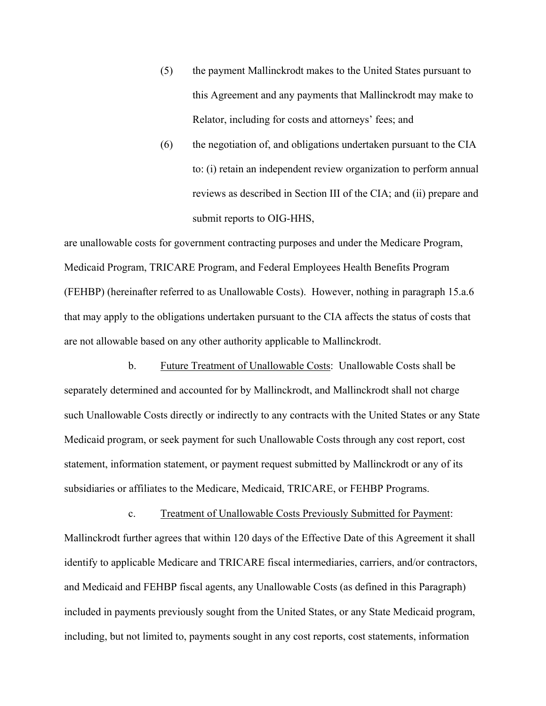- (5) the payment Mallinckrodt makes to the United States pursuant to this Agreement and any payments that Mallinckrodt may make to Relator, including for costs and attorneys' fees; and
- (6) the negotiation of, and obligations undertaken pursuant to the CIA to: (i) retain an independent review organization to perform annual reviews as described in Section III of the CIA; and (ii) prepare and submit reports to OIG-HHS,

are unallowable costs for government contracting purposes and under the Medicare Program, Medicaid Program, TRICARE Program, and Federal Employees Health Benefits Program (FEHBP) (hereinafter referred to as Unallowable Costs). However, nothing in paragraph 15.a.6 that may apply to the obligations undertaken pursuant to the CIA affects the status of costs that are not allowable based on any other authority applicable to Mallinckrodt.

b. Future Treatment of Unallowable Costs: Unallowable Costs shall be separately determined and accounted for by Mallinckrodt, and Mallinckrodt shall not charge such Unallowable Costs directly or indirectly to any contracts with the United States or any State Medicaid program, or seek payment for such Unallowable Costs through any cost report, cost statement, information statement, or payment request submitted by Mallinckrodt or any of its subsidiaries or affiliates to the Medicare, Medicaid, TRICARE, or FEHBP Programs.

c. Treatment of Unallowable Costs Previously Submitted for Payment: Mallinckrodt further agrees that within 120 days of the Effective Date of this Agreement it shall identify to applicable Medicare and TRICARE fiscal intermediaries, carriers, and/or contractors, and Medicaid and FEHBP fiscal agents, any Unallowable Costs (as defined in this Paragraph) included in payments previously sought from the United States, or any State Medicaid program, including, but not limited to, payments sought in any cost reports, cost statements, information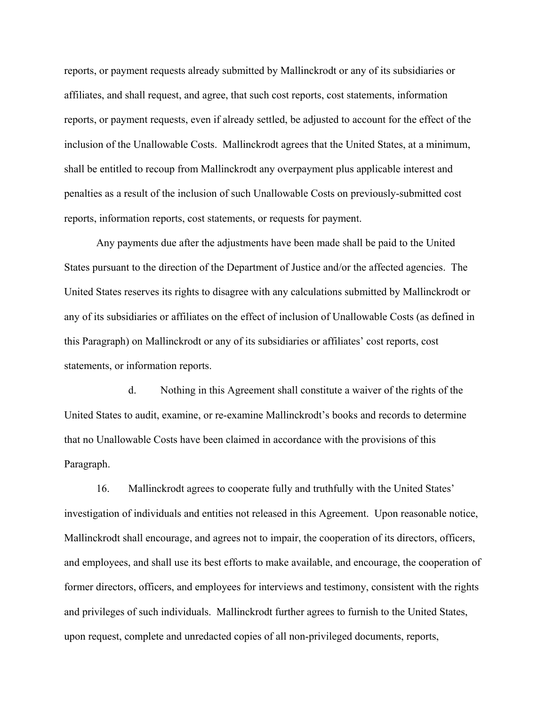reports, or payment requests already submitted by Mallinckrodt or any of its subsidiaries or affiliates, and shall request, and agree, that such cost reports, cost statements, information reports, or payment requests, even if already settled, be adjusted to account for the effect of the inclusion of the Unallowable Costs. Mallinckrodt agrees that the United States, at a minimum, shall be entitled to recoup from Mallinckrodt any overpayment plus applicable interest and penalties as a result of the inclusion of such Unallowable Costs on previously-submitted cost reports, information reports, cost statements, or requests for payment.

Any payments due after the adjustments have been made shall be paid to the United States pursuant to the direction of the Department of Justice and/or the affected agencies. The United States reserves its rights to disagree with any calculations submitted by Mallinckrodt or any of its subsidiaries or affiliates on the effect of inclusion of Unallowable Costs (as defined in this Paragraph) on Mallinckrodt or any of its subsidiaries or affiliates' cost reports, cost statements, or information reports.

d. Nothing in this Agreement shall constitute a waiver of the rights of the United States to audit, examine, or re-examine Mallinckrodt's books and records to determine that no Unallowable Costs have been claimed in accordance with the provisions of this Paragraph.

16. Mallinckrodt agrees to cooperate fully and truthfully with the United States' investigation of individuals and entities not released in this Agreement. Upon reasonable notice, Mallinckrodt shall encourage, and agrees not to impair, the cooperation of its directors, officers, and employees, and shall use its best efforts to make available, and encourage, the cooperation of former directors, officers, and employees for interviews and testimony, consistent with the rights and privileges of such individuals. Mallinckrodt further agrees to furnish to the United States, upon request, complete and unredacted copies of all non-privileged documents, reports,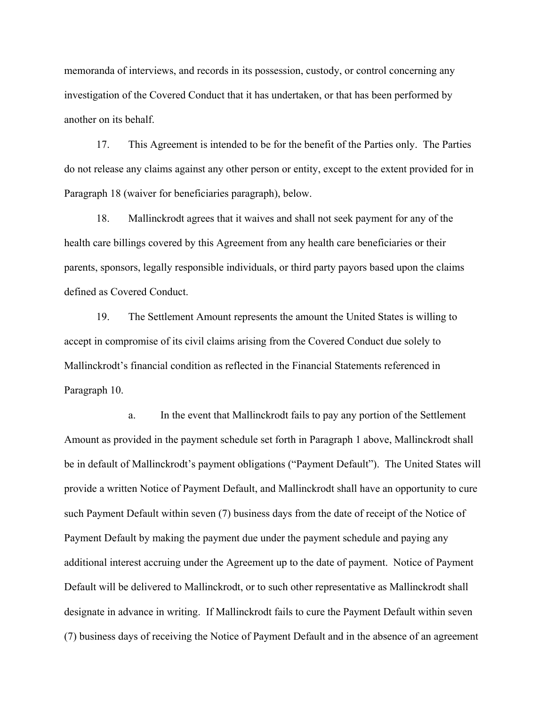memoranda of interviews, and records in its possession, custody, or control concerning any investigation of the Covered Conduct that it has undertaken, or that has been performed by another on its behalf.

17. This Agreement is intended to be for the benefit of the Parties only. The Parties do not release any claims against any other person or entity, except to the extent provided for in Paragraph 18 (waiver for beneficiaries paragraph), below.

18. Mallinckrodt agrees that it waives and shall not seek payment for any of the health care billings covered by this Agreement from any health care beneficiaries or their parents, sponsors, legally responsible individuals, or third party payors based upon the claims defined as Covered Conduct.

19. The Settlement Amount represents the amount the United States is willing to accept in compromise of its civil claims arising from the Covered Conduct due solely to Mallinckrodt's financial condition as reflected in the Financial Statements referenced in Paragraph 10.

a. In the event that Mallinckrodt fails to pay any portion of the Settlement Amount as provided in the payment schedule set forth in Paragraph 1 above, Mallinckrodt shall be in default of Mallinckrodt's payment obligations ("Payment Default"). The United States will provide a written Notice of Payment Default, and Mallinckrodt shall have an opportunity to cure such Payment Default within seven (7) business days from the date of receipt of the Notice of Payment Default by making the payment due under the payment schedule and paying any additional interest accruing under the Agreement up to the date of payment. Notice of Payment Default will be delivered to Mallinckrodt, or to such other representative as Mallinckrodt shall designate in advance in writing. If Mallinckrodt fails to cure the Payment Default within seven (7) business days of receiving the Notice of Payment Default and in the absence of an agreement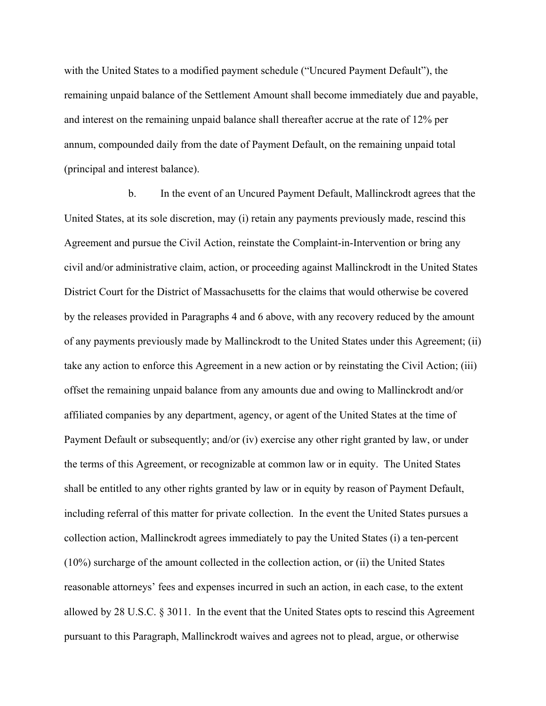with the United States to a modified payment schedule ("Uncured Payment Default"), the remaining unpaid balance of the Settlement Amount shall become immediately due and payable, and interest on the remaining unpaid balance shall thereafter accrue at the rate of 12% per annum, compounded daily from the date of Payment Default, on the remaining unpaid total (principal and interest balance).

b. In the event of an Uncured Payment Default, Mallinckrodt agrees that the United States, at its sole discretion, may (i) retain any payments previously made, rescind this Agreement and pursue the Civil Action, reinstate the Complaint-in-Intervention or bring any civil and/or administrative claim, action, or proceeding against Mallinckrodt in the United States District Court for the District of Massachusetts for the claims that would otherwise be covered by the releases provided in Paragraphs 4 and 6 above, with any recovery reduced by the amount of any payments previously made by Mallinckrodt to the United States under this Agreement; (ii) take any action to enforce this Agreement in a new action or by reinstating the Civil Action; (iii) offset the remaining unpaid balance from any amounts due and owing to Mallinckrodt and/or affiliated companies by any department, agency, or agent of the United States at the time of Payment Default or subsequently; and/or (iv) exercise any other right granted by law, or under the terms of this Agreement, or recognizable at common law or in equity. The United States shall be entitled to any other rights granted by law or in equity by reason of Payment Default, including referral of this matter for private collection. In the event the United States pursues a collection action, Mallinckrodt agrees immediately to pay the United States (i) a ten-percent (10%) surcharge of the amount collected in the collection action, or (ii) the United States reasonable attorneys' fees and expenses incurred in such an action, in each case, to the extent allowed by 28 U.S.C. § 3011. In the event that the United States opts to rescind this Agreement pursuant to this Paragraph, Mallinckrodt waives and agrees not to plead, argue, or otherwise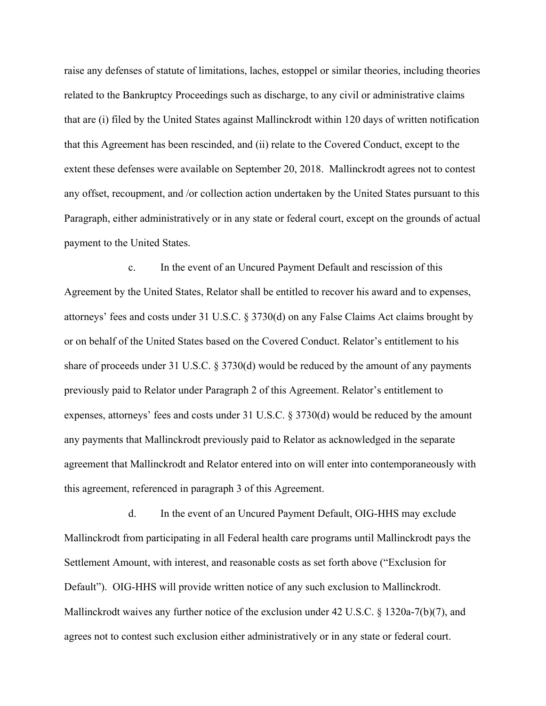raise any defenses of statute of limitations, laches, estoppel or similar theories, including theories related to the Bankruptcy Proceedings such as discharge, to any civil or administrative claims that are (i) filed by the United States against Mallinckrodt within 120 days of written notification that this Agreement has been rescinded, and (ii) relate to the Covered Conduct, except to the extent these defenses were available on September 20, 2018. Mallinckrodt agrees not to contest any offset, recoupment, and /or collection action undertaken by the United States pursuant to this Paragraph, either administratively or in any state or federal court, except on the grounds of actual payment to the United States.

c. In the event of an Uncured Payment Default and rescission of this Agreement by the United States, Relator shall be entitled to recover his award and to expenses, attorneys' fees and costs under 31 U.S.C. § 3730(d) on any False Claims Act claims brought by or on behalf of the United States based on the Covered Conduct. Relator's entitlement to his share of proceeds under 31 U.S.C. § 3730(d) would be reduced by the amount of any payments previously paid to Relator under Paragraph 2 of this Agreement. Relator's entitlement to expenses, attorneys' fees and costs under 31 U.S.C. § 3730(d) would be reduced by the amount any payments that Mallinckrodt previously paid to Relator as acknowledged in the separate agreement that Mallinckrodt and Relator entered into on will enter into contemporaneously with this agreement, referenced in paragraph 3 of this Agreement.

d. In the event of an Uncured Payment Default, OIG-HHS may exclude Mallinckrodt from participating in all Federal health care programs until Mallinckrodt pays the Settlement Amount, with interest, and reasonable costs as set forth above ("Exclusion for Default"). OIG-HHS will provide written notice of any such exclusion to Mallinckrodt. Mallinckrodt waives any further notice of the exclusion under 42 U.S.C. § 1320a-7(b)(7), and agrees not to contest such exclusion either administratively or in any state or federal court.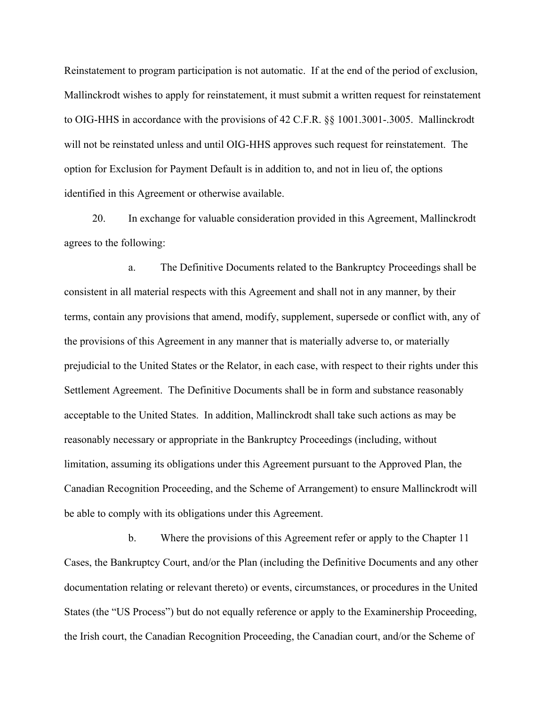Reinstatement to program participation is not automatic. If at the end of the period of exclusion, Mallinckrodt wishes to apply for reinstatement, it must submit a written request for reinstatement to OIG-HHS in accordance with the provisions of 42 C.F.R. §§ 1001.3001-.3005. Mallinckrodt will not be reinstated unless and until OIG-HHS approves such request for reinstatement. The option for Exclusion for Payment Default is in addition to, and not in lieu of, the options identified in this Agreement or otherwise available.

20. In exchange for valuable consideration provided in this Agreement, Mallinckrodt agrees to the following:

a. The Definitive Documents related to the Bankruptcy Proceedings shall be consistent in all material respects with this Agreement and shall not in any manner, by their terms, contain any provisions that amend, modify, supplement, supersede or conflict with, any of the provisions of this Agreement in any manner that is materially adverse to, or materially prejudicial to the United States or the Relator, in each case, with respect to their rights under this Settlement Agreement. The Definitive Documents shall be in form and substance reasonably acceptable to the United States. In addition, Mallinckrodt shall take such actions as may be reasonably necessary or appropriate in the Bankruptcy Proceedings (including, without limitation, assuming its obligations under this Agreement pursuant to the Approved Plan, the Canadian Recognition Proceeding, and the Scheme of Arrangement) to ensure Mallinckrodt will be able to comply with its obligations under this Agreement.

b. Where the provisions of this Agreement refer or apply to the Chapter 11 Cases, the Bankruptcy Court, and/or the Plan (including the Definitive Documents and any other documentation relating or relevant thereto) or events, circumstances, or procedures in the United States (the "US Process") but do not equally reference or apply to the Examinership Proceeding, the Irish court, the Canadian Recognition Proceeding, the Canadian court, and/or the Scheme of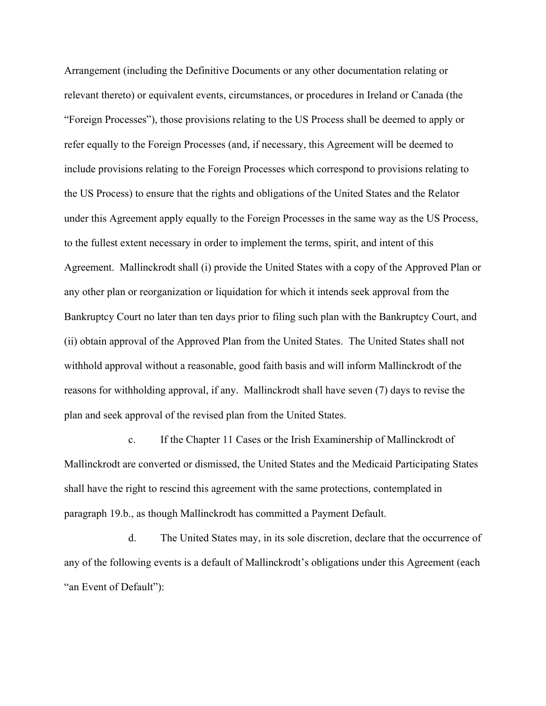Agreement. Mallinckrodt shall (i) provide the United States with a copy of the Approved Plan or Arrangement (including the Definitive Documents or any other documentation relating or relevant thereto) or equivalent events, circumstances, or procedures in Ireland or Canada (the "Foreign Processes"), those provisions relating to the US Process shall be deemed to apply or refer equally to the Foreign Processes (and, if necessary, this Agreement will be deemed to include provisions relating to the Foreign Processes which correspond to provisions relating to the US Process) to ensure that the rights and obligations of the United States and the Relator under this Agreement apply equally to the Foreign Processes in the same way as the US Process, to the fullest extent necessary in order to implement the terms, spirit, and intent of this any other plan or reorganization or liquidation for which it intends seek approval from the Bankruptcy Court no later than ten days prior to filing such plan with the Bankruptcy Court, and (ii) obtain approval of the Approved Plan from the United States. The United States shall not withhold approval without a reasonable, good faith basis and will inform Mallinckrodt of the reasons for withholding approval, if any. Mallinckrodt shall have seven (7) days to revise the plan and seek approval of the revised plan from the United States.

c. If the Chapter 11 Cases or the Irish Examinership of Mallinckrodt of Mallinckrodt are converted or dismissed, the United States and the Medicaid Participating States shall have the right to rescind this agreement with the same protections, contemplated in paragraph 19.b., as though Mallinckrodt has committed a Payment Default.

d. The United States may, in its sole discretion, declare that the occurrence of any of the following events is a default of Mallinckrodt's obligations under this Agreement (each "an Event of Default"):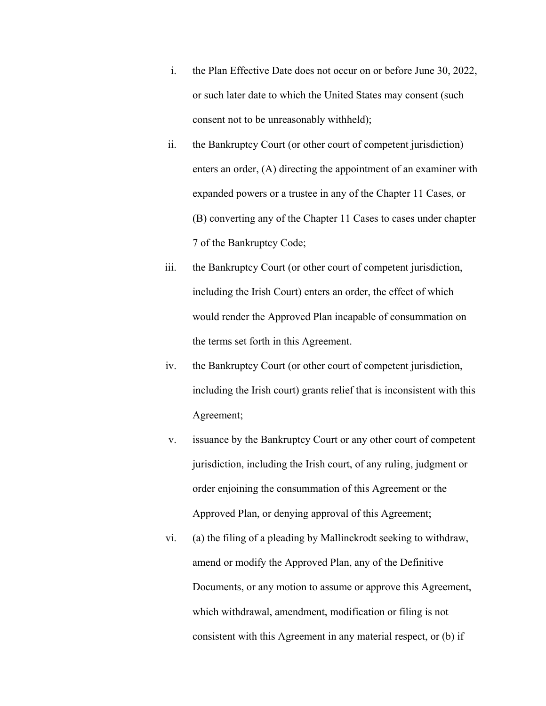- i. the Plan Effective Date does not occur on or before June 30, 2022, or such later date to which the United States may consent (such consent not to be unreasonably withheld);
- ii. the Bankruptcy Court (or other court of competent jurisdiction) enters an order, (A) directing the appointment of an examiner with expanded powers or a trustee in any of the Chapter 11 Cases, or (B) converting any of the Chapter 11 Cases to cases under chapter 7 of the Bankruptcy Code;
- iii. the Bankruptcy Court (or other court of competent jurisdiction, including the Irish Court) enters an order, the effect of which would render the Approved Plan incapable of consummation on the terms set forth in this Agreement.
- iv. the Bankruptcy Court (or other court of competent jurisdiction, including the Irish court) grants relief that is inconsistent with this Agreement;
- v. issuance by the Bankruptcy Court or any other court of competent jurisdiction, including the Irish court, of any ruling, judgment or order enjoining the consummation of this Agreement or the Approved Plan, or denying approval of this Agreement;
- vi. (a) the filing of a pleading by Mallinckrodt seeking to withdraw, amend or modify the Approved Plan, any of the Definitive Documents, or any motion to assume or approve this Agreement, which withdrawal, amendment, modification or filing is not consistent with this Agreement in any material respect, or (b) if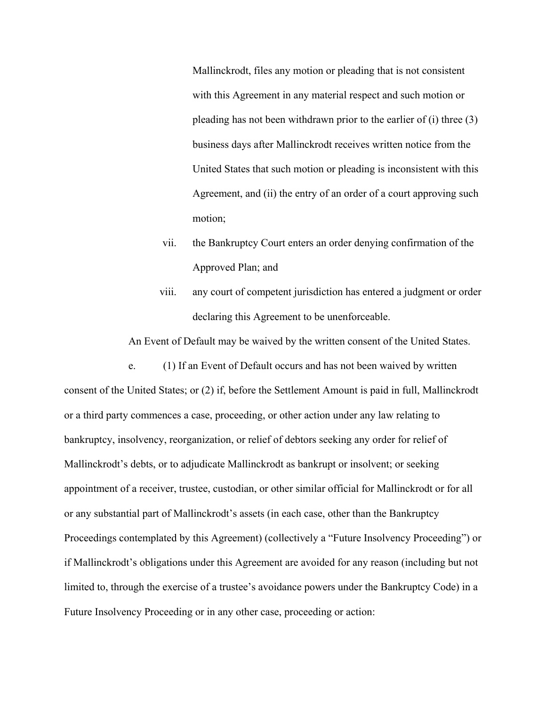Mallinckrodt, files any motion or pleading that is not consistent with this Agreement in any material respect and such motion or pleading has not been withdrawn prior to the earlier of (i) three (3) business days after Mallinckrodt receives written notice from the United States that such motion or pleading is inconsistent with this Agreement, and (ii) the entry of an order of a court approving such motion;

- vii. the Bankruptcy Court enters an order denying confirmation of the Approved Plan; and
- viii. any court of competent jurisdiction has entered a judgment or order declaring this Agreement to be unenforceable.

An Event of Default may be waived by the written consent of the United States.

e. (1) If an Event of Default occurs and has not been waived by written consent of the United States; or (2) if, before the Settlement Amount is paid in full, Mallinckrodt or a third party commences a case, proceeding, or other action under any law relating to bankruptcy, insolvency, reorganization, or relief of debtors seeking any order for relief of Mallinckrodt's debts, or to adjudicate Mallinckrodt as bankrupt or insolvent; or seeking appointment of a receiver, trustee, custodian, or other similar official for Mallinckrodt or for all or any substantial part of Mallinckrodt's assets (in each case, other than the Bankruptcy Proceedings contemplated by this Agreement) (collectively a "Future Insolvency Proceeding") or if Mallinckrodt's obligations under this Agreement are avoided for any reason (including but not limited to, through the exercise of a trustee's avoidance powers under the Bankruptcy Code) in a Future Insolvency Proceeding or in any other case, proceeding or action: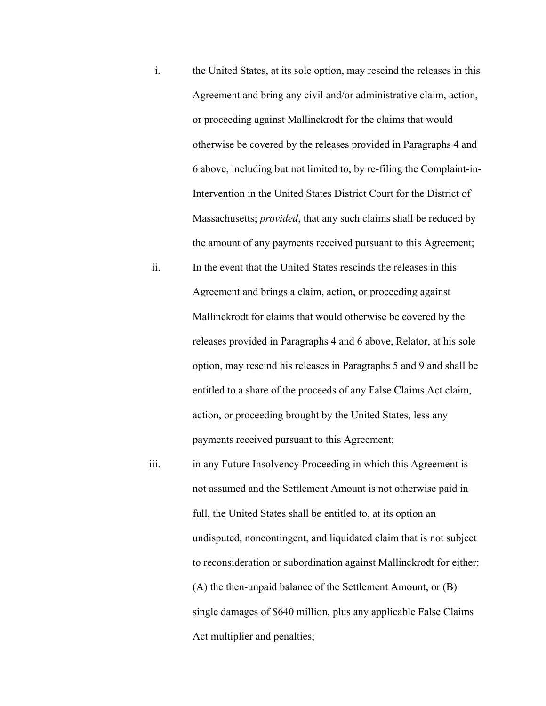- i. the United States, at its sole option, may rescind the releases in this Agreement and bring any civil and/or administrative claim, action, or proceeding against Mallinckrodt for the claims that would otherwise be covered by the releases provided in Paragraphs 4 and 6 above, including but not limited to, by re-filing the Complaint-in-Intervention in the United States District Court for the District of Massachusetts; *provided*, that any such claims shall be reduced by the amount of any payments received pursuant to this Agreement;
- ii. In the event that the United States rescinds the releases in this Agreement and brings a claim, action, or proceeding against Mallinckrodt for claims that would otherwise be covered by the releases provided in Paragraphs 4 and 6 above, Relator, at his sole option, may rescind his releases in Paragraphs 5 and 9 and shall be entitled to a share of the proceeds of any False Claims Act claim, action, or proceeding brought by the United States, less any payments received pursuant to this Agreement;
- Act multiplier and penalties; iii. iii. in any Future Insolvency Proceeding in which this Agreement is not assumed and the Settlement Amount is not otherwise paid in full, the United States shall be entitled to, at its option an undisputed, noncontingent, and liquidated claim that is not subject to reconsideration or subordination against Mallinckrodt for either: (A) the then-unpaid balance of the Settlement Amount, or (B) single damages of \$640 million, plus any applicable False Claims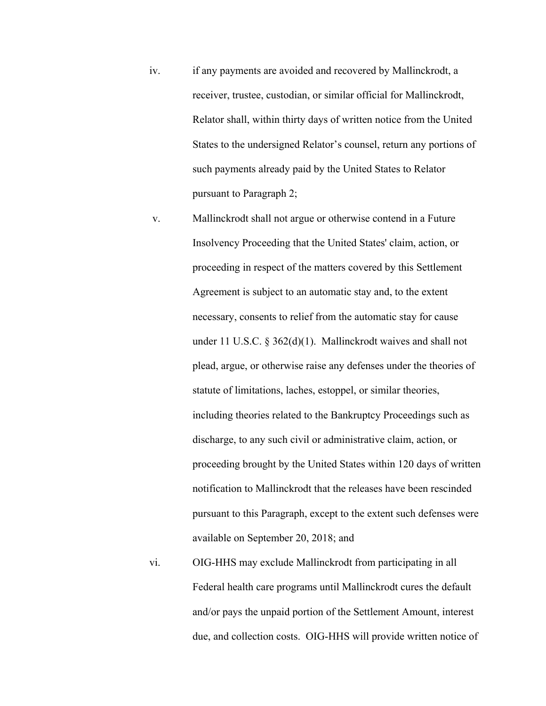- iv. if any payments are avoided and recovered by Mallinckrodt, a receiver, trustee, custodian, or similar official for Mallinckrodt, Relator shall, within thirty days of written notice from the United States to the undersigned Relator's counsel, return any portions of such payments already paid by the United States to Relator pursuant to Paragraph 2;
- v. Mallinckrodt shall not argue or otherwise contend in a Future Insolvency Proceeding that the United States' claim, action, or proceeding in respect of the matters covered by this Settlement Agreement is subject to an automatic stay and, to the extent necessary, consents to relief from the automatic stay for cause under 11 U.S.C. § 362(d)(1). Mallinckrodt waives and shall not plead, argue, or otherwise raise any defenses under the theories of statute of limitations, laches, estoppel, or similar theories, including theories related to the Bankruptcy Proceedings such as discharge, to any such civil or administrative claim, action, or proceeding brought by the United States within 120 days of written notification to Mallinckrodt that the releases have been rescinded pursuant to this Paragraph, except to the extent such defenses were available on September 20, 2018; and
- vi. OIG-HHS may exclude Mallinckrodt from participating in all Federal health care programs until Mallinckrodt cures the default and/or pays the unpaid portion of the Settlement Amount, interest due, and collection costs. OIG-HHS will provide written notice of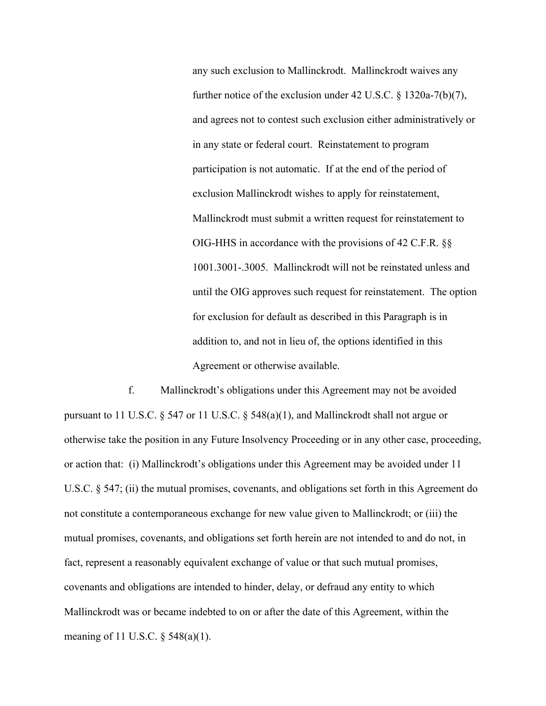any such exclusion to Mallinckrodt. Mallinckrodt waives any further notice of the exclusion under 42 U.S.C. § 1320a-7(b)(7), and agrees not to contest such exclusion either administratively or in any state or federal court. Reinstatement to program participation is not automatic. If at the end of the period of exclusion Mallinckrodt wishes to apply for reinstatement, Mallinckrodt must submit a written request for reinstatement to OIG-HHS in accordance with the provisions of 42 C.F.R. §§ 1001.3001-.3005. Mallinckrodt will not be reinstated unless and until the OIG approves such request for reinstatement. The option for exclusion for default as described in this Paragraph is in addition to, and not in lieu of, the options identified in this Agreement or otherwise available.

f. Mallinckrodt's obligations under this Agreement may not be avoided pursuant to 11 U.S.C. § 547 or 11 U.S.C. § 548(a)(1), and Mallinckrodt shall not argue or otherwise take the position in any Future Insolvency Proceeding or in any other case, proceeding, or action that: (i) Mallinckrodt's obligations under this Agreement may be avoided under 11 U.S.C. § 547; (ii) the mutual promises, covenants, and obligations set forth in this Agreement do not constitute a contemporaneous exchange for new value given to Mallinckrodt; or (iii) the mutual promises, covenants, and obligations set forth herein are not intended to and do not, in fact, represent a reasonably equivalent exchange of value or that such mutual promises, covenants and obligations are intended to hinder, delay, or defraud any entity to which Mallinckrodt was or became indebted to on or after the date of this Agreement, within the meaning of 11 U.S.C. § 548(a)(1).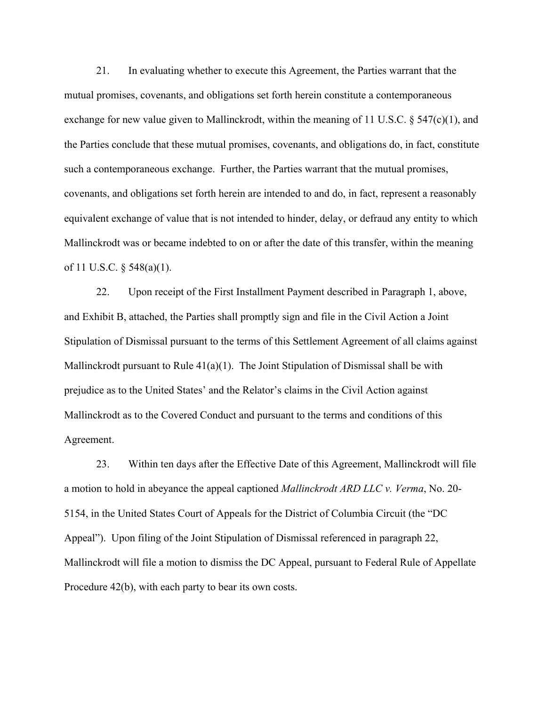21. In evaluating whether to execute this Agreement, the Parties warrant that the mutual promises, covenants, and obligations set forth herein constitute a contemporaneous exchange for new value given to Mallinckrodt, within the meaning of 11 U.S.C. § 547(c)(1), and the Parties conclude that these mutual promises, covenants, and obligations do, in fact, constitute such a contemporaneous exchange. Further, the Parties warrant that the mutual promises, covenants, and obligations set forth herein are intended to and do, in fact, represent a reasonably equivalent exchange of value that is not intended to hinder, delay, or defraud any entity to which Mallinckrodt was or became indebted to on or after the date of this transfer, within the meaning of 11 U.S.C. § 548(a)(1).

22. Upon receipt of the First Installment Payment described in Paragraph 1, above, and Exhibit B, attached, the Parties shall promptly sign and file in the Civil Action a Joint Stipulation of Dismissal pursuant to the terms of this Settlement Agreement of all claims against Mallinckrodt pursuant to Rule  $41(a)(1)$ . The Joint Stipulation of Dismissal shall be with prejudice as to the United States' and the Relator's claims in the Civil Action against Mallinckrodt as to the Covered Conduct and pursuant to the terms and conditions of this Agreement.

23. Within ten days after the Effective Date of this Agreement, Mallinckrodt will file a motion to hold in abeyance the appeal captioned *Mallinckrodt ARD LLC v. Verma*, No. 20- 5154, in the United States Court of Appeals for the District of Columbia Circuit (the "DC Appeal"). Upon filing of the Joint Stipulation of Dismissal referenced in paragraph 22, Mallinckrodt will file a motion to dismiss the DC Appeal, pursuant to Federal Rule of Appellate Procedure 42(b), with each party to bear its own costs.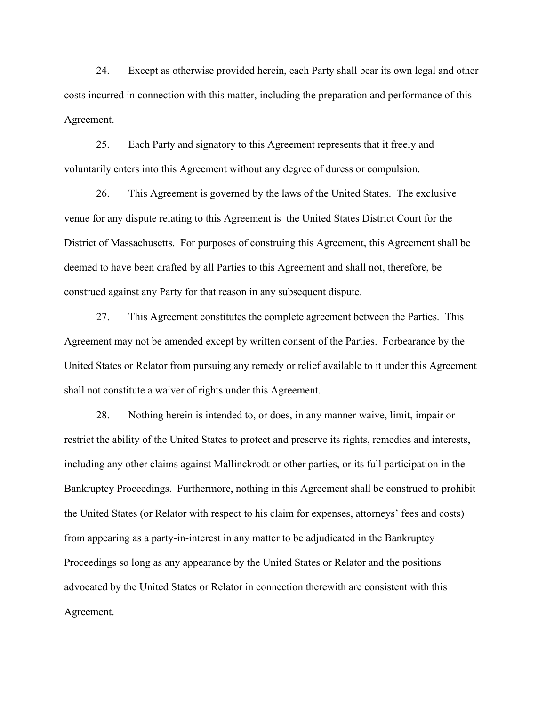24. Except as otherwise provided herein, each Party shall bear its own legal and other costs incurred in connection with this matter, including the preparation and performance of this Agreement.

25. Each Party and signatory to this Agreement represents that it freely and voluntarily enters into this Agreement without any degree of duress or compulsion.

26. This Agreement is governed by the laws of the United States. The exclusive venue for any dispute relating to this Agreement is the United States District Court for the District of Massachusetts. For purposes of construing this Agreement, this Agreement shall be deemed to have been drafted by all Parties to this Agreement and shall not, therefore, be construed against any Party for that reason in any subsequent dispute.

27. This Agreement constitutes the complete agreement between the Parties. This Agreement may not be amended except by written consent of the Parties. Forbearance by the United States or Relator from pursuing any remedy or relief available to it under this Agreement shall not constitute a waiver of rights under this Agreement.

28. Nothing herein is intended to, or does, in any manner waive, limit, impair or restrict the ability of the United States to protect and preserve its rights, remedies and interests, including any other claims against Mallinckrodt or other parties, or its full participation in the Bankruptcy Proceedings. Furthermore, nothing in this Agreement shall be construed to prohibit the United States (or Relator with respect to his claim for expenses, attorneys' fees and costs) from appearing as a party-in-interest in any matter to be adjudicated in the Bankruptcy Proceedings so long as any appearance by the United States or Relator and the positions advocated by the United States or Relator in connection therewith are consistent with this Agreement.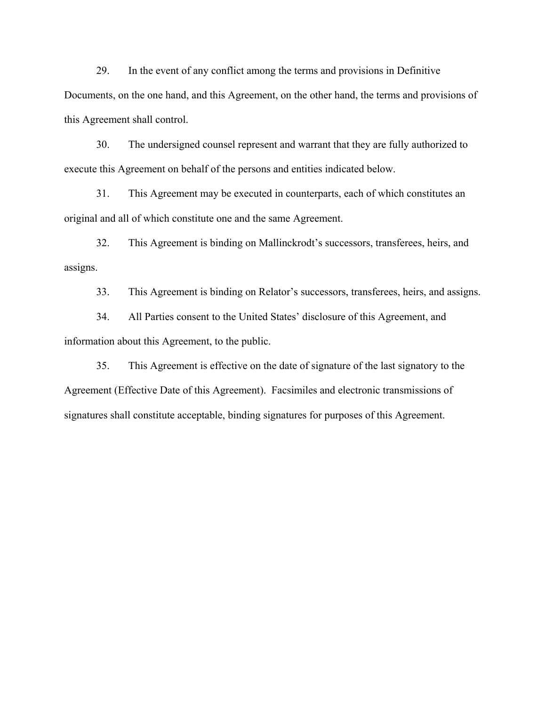29. In the event of any conflict among the terms and provisions in Definitive Documents, on the one hand, and this Agreement, on the other hand, the terms and provisions of this Agreement shall control.

30. The undersigned counsel represent and warrant that they are fully authorized to execute this Agreement on behalf of the persons and entities indicated below.

31. This Agreement may be executed in counterparts, each of which constitutes an original and all of which constitute one and the same Agreement.

32. This Agreement is binding on Mallinckrodt's successors, transferees, heirs, and assigns.

33. This Agreement is binding on Relator's successors, transferees, heirs, and assigns.

34. All Parties consent to the United States' disclosure of this Agreement, and information about this Agreement, to the public.

35. This Agreement is effective on the date of signature of the last signatory to the Agreement (Effective Date of this Agreement). Facsimiles and electronic transmissions of signatures shall constitute acceptable, binding signatures for purposes of this Agreement.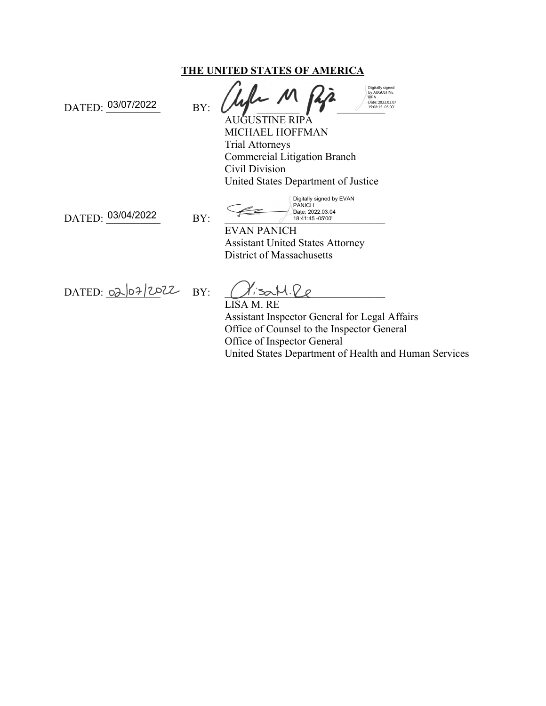### **THE UNITED STATES OF AMERICA**

DATED: 03/07/2022 BY:

 $\frac{1}{1508.154}$ 

RIPA Digitally signed by AUGUSTINE Date: [2022.03.07](https://2022.03.07)<br>15:08:15 -05'00'

AUGUSTINE RIPA MICHAEL HOFFMAN Trial Attorneys Commercial Litigation Branch Civil Division United States Department of Justice

DATED: 03/04/2022 BY:

18:41:45 -05'00' Digitally signed by EVAN<br>PANICH Date: [2022.03.04](https://2022.03.04)

EVAN PANICH Assistant United States Attorney District of Massachusetts

DATED:  $02|07|2022$  BY:  $\bigcup$  sall  $\bigcup$ 

LISA M. RE Assistant Inspector General for Legal Affairs Office of Counsel to the Inspector General Office of Inspector General United States Department of Health and Human Services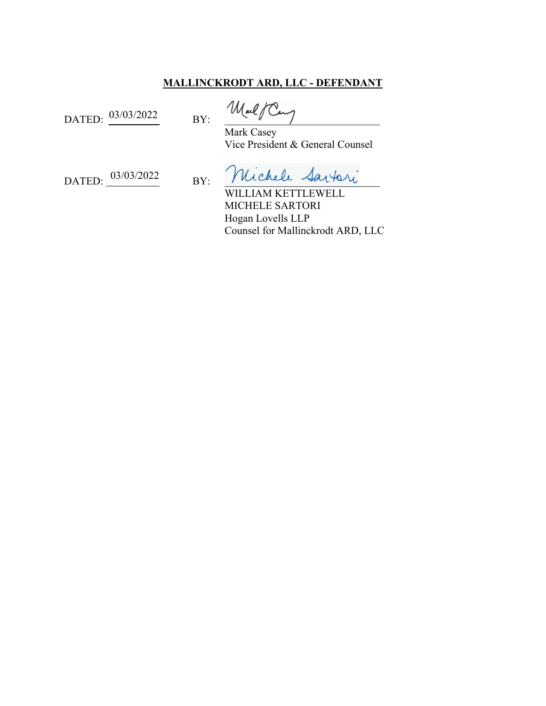## **MALLINCKRODT ARD, LLC - DEFENDANT**

DATED:  $\frac{03/03/2022}{BY}$  BY:  $\frac{1006}{BY}$ 

 Mark Casey Vice President & General Counsel

DATED: 03/03/2022 BY: Michele Sartori

WILLIAM KETTLEWELL MICHELE SARTORI Hogan Lovells LLP Counsel for Mallinckrodt ARD, LLC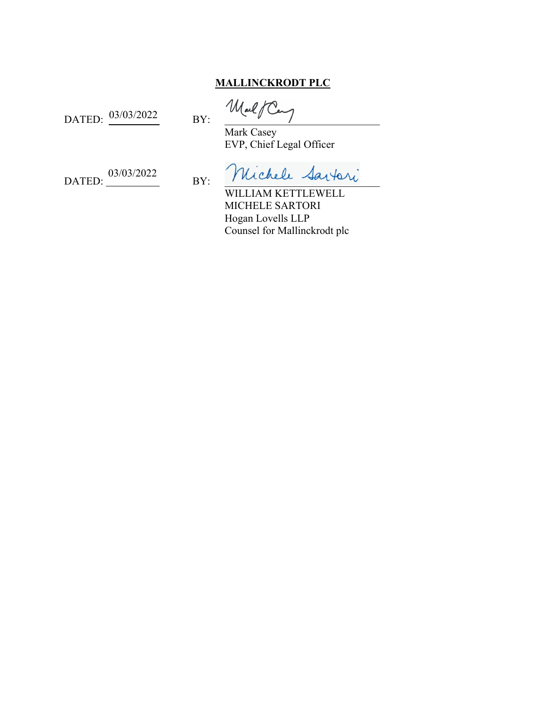# **MALLINCKRODT PLC**

DATED:  $\frac{03/03/2022}{BY}$  BY:  $\frac{0.3}{BY}$ 

 Mark Casey EVP, Chief Legal Officer

DATED:  $0$ 03/03/2022

BY: Michele Sartori

WILLIAM KETTLEWELL MICHELE SARTORI Hogan Lovells LLP Counsel for Mallinckrodt plc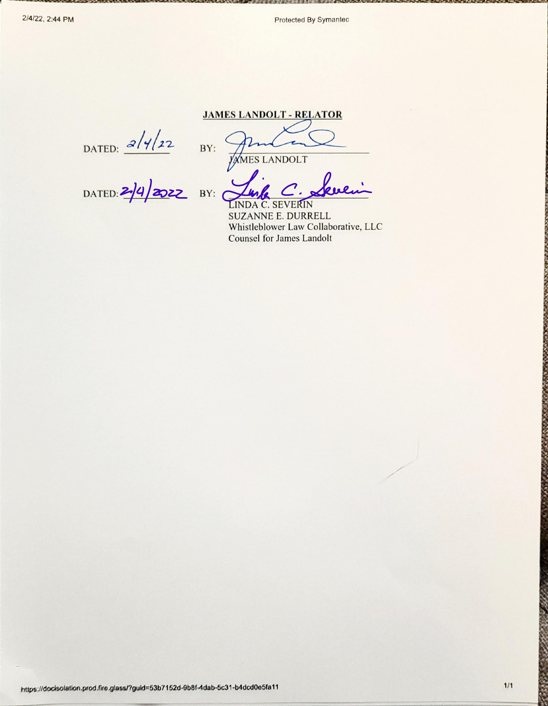Protected By Symantec

DATED:  $\frac{2}{422}$  BY:

**JAMES LANDOLT - RELATOR** 

**YAMES LANDOLT** 

LINDA C. SEVERIN

**SUZANNE E. DURRELL** Whistleblower Law Collaborative, LLC **Counsel for James Landolt**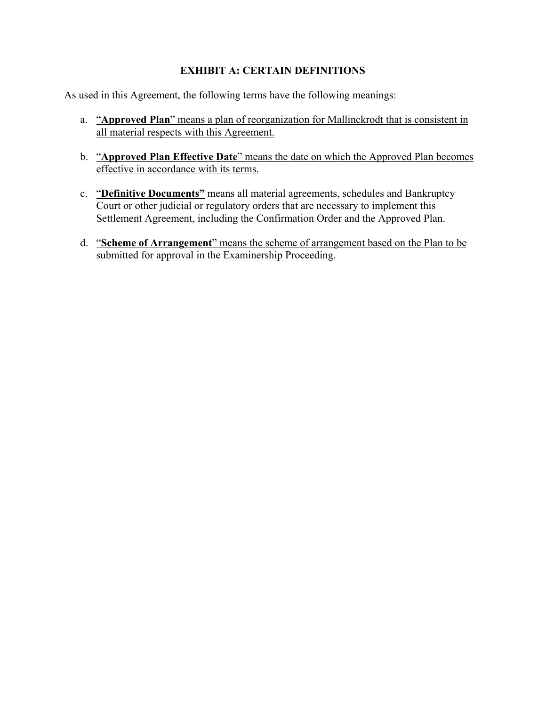# **EXHIBIT A: CERTAIN DEFINITIONS**

As used in this Agreement, the following terms have the following meanings:

- a. "**Approved Plan**" means a plan of reorganization for Mallinckrodt that is consistent in all material respects with this Agreement.
- b. "**Approved Plan Effective Date**" means the date on which the Approved Plan becomes effective in accordance with its terms.
- c. "**Definitive Documents"** means all material agreements, schedules and Bankruptcy Court or other judicial or regulatory orders that are necessary to implement this Settlement Agreement, including the Confirmation Order and the Approved Plan.
- d. "**Scheme of Arrangement**" means the scheme of arrangement based on the Plan to be submitted for approval in the Examinership Proceeding.